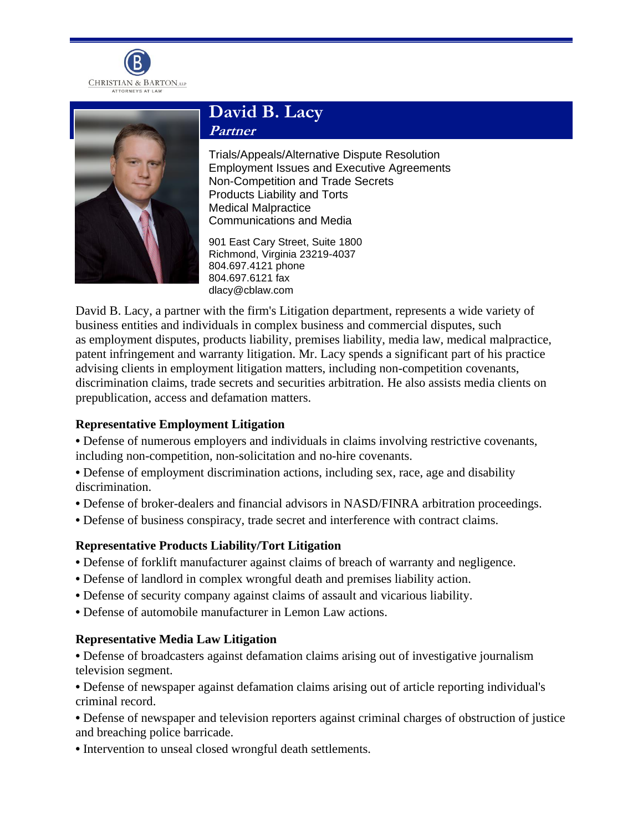



# **David B. Lacy Partner**

Trials/Appeals/Alternative Dispute Resolution Employment Issues and Executive Agreements Non-Competition and Trade Secrets Products Liability and Torts Medical Malpractice Communications and Media

901 East Cary Street, Suite 1800 Richmond, Virginia 23219-4037 804.697.4121 phone 804.697.6121 fax dlacy@cblaw.com

David B. Lacy, a partner with the firm's Litigation department, represents a wide variety of business entities and individuals in complex business and commercial disputes, such as employment disputes, products liability, premises liability, media law, medical malpractice, patent infringement and warranty litigation. Mr. Lacy spends a significant part of his practice advising clients in employment litigation matters, including non-competition covenants, discrimination claims, trade secrets and securities arbitration. He also assists media clients on prepublication, access and defamation matters.

# **Representative Employment Litigation**

- **•** Defense of numerous employers and individuals in claims involving restrictive covenants, including non-competition, non-solicitation and no-hire covenants.
- **•** Defense of employment discrimination actions, including sex, race, age and disability discrimination.
- **•** Defense of broker-dealers and financial advisors in NASD/FINRA arbitration proceedings.
- **•** Defense of business conspiracy, trade secret and interference with contract claims.

# **Representative Products Liability/Tort Litigation**

- **•** Defense of forklift manufacturer against claims of breach of warranty and negligence.
- **•** Defense of landlord in complex wrongful death and premises liability action.
- **•** Defense of security company against claims of assault and vicarious liability.
- **•** Defense of automobile manufacturer in Lemon Law actions.

# **Representative Media Law Litigation**

**•** Defense of broadcasters against defamation claims arising out of investigative journalism television segment.

**•** Defense of newspaper against defamation claims arising out of article reporting individual's criminal record.

**•** Defense of newspaper and television reporters against criminal charges of obstruction of justice and breaching police barricade.

**•** Intervention to unseal closed wrongful death settlements.